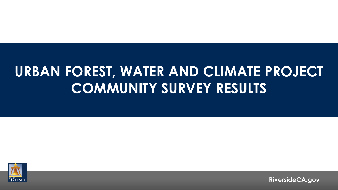## **URBAN FOREST, WATER AND CLIMATE PROJECT COMMUNITY SURVEY RESULTS**



**RiversideCA.gov**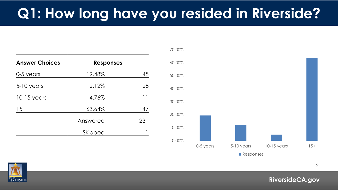## **Q1: How long have you resided in Riverside?**

| <b>Answer Choices</b> |          | <b>Responses</b> |
|-----------------------|----------|------------------|
| $ 0-5$ years          | 19.48%   | 45               |
| 5-10 years            | 12.12%   | 28               |
| $ 10-15$ years        | 4.76%    |                  |
| $15+$                 | 63.64%   | 147              |
|                       | Answered | 23 <sup>2</sup>  |
|                       | Skipped  |                  |





2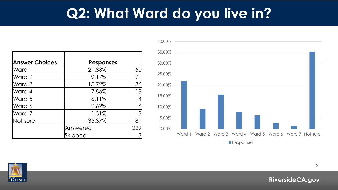## **Q2: What Ward do you live in?**

| <b>Answer Choices</b> | <b>Responses</b> |     |
|-----------------------|------------------|-----|
| Ward 1                | 21.83%           | 5C  |
| Ward 2                | 9.17%            | 21  |
| Ward 3                | 15.72%           | 36  |
| Ward 4                | 7.86%            | 18  |
| Ward 5                | 6.11%            | 14  |
| Ward 6                | 2.62%            |     |
| Ward 7                | 1.31%            |     |
| Not sure              | 35.37%           | 81  |
|                       | Answered         | 229 |
|                       | Skipped          |     |



RIVERSIDE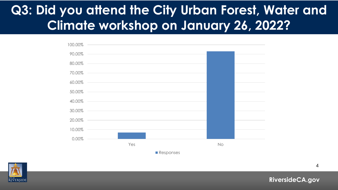## **Q3: Did you attend the City Urban Forest, Water and Climate workshop on January 26, 2022?**



**Responses** 



**RiversideCA.gov**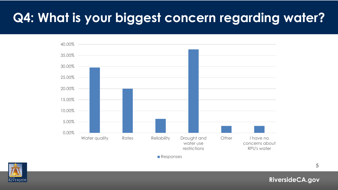## **Q4: What is your biggest concern regarding water?**



**Responses** 

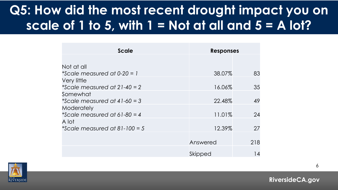## **Q5: How did the most recent drought impact you on scale of 1 to 5, with 1 = Not at all and 5 = A lot?**

| <b>Scale</b>                   | <b>Responses</b> |     |
|--------------------------------|------------------|-----|
|                                |                  |     |
| Not at all                     |                  |     |
| *Scale measured at $0-20 = 1$  | 38.07%           | 83  |
| Very little                    |                  |     |
| *Scale measured at $21-40=2$   | 16.06%           | 35  |
| Somewhat                       |                  |     |
| *Scale measured at $41-60=3$   | 22.48%           | 49  |
| Moderately                     |                  |     |
| *Scale measured at 61-80 = $4$ | 11.01%           | 24  |
| A lot                          |                  |     |
| *Scale measured at 81-100 = 5  | 12.39%           | 27  |
|                                |                  |     |
|                                | Answered         | 218 |
|                                |                  |     |
|                                | Skipped          | 14  |

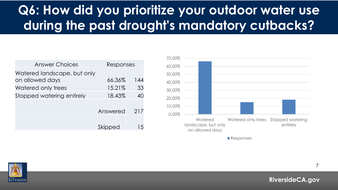## **Q6: How did you prioritize your outdoor water use during the past drought's mandatory cutbacks?**

| <b>Answer Choices</b>                          | Responses |                          |
|------------------------------------------------|-----------|--------------------------|
| Watered landscape, but only<br>on allowed days | 66.36%    | 144                      |
| Watered only trees                             | 15.21%    | 33                       |
| Stopped watering entirely                      | 18.43%    | 40                       |
|                                                | Answered  | 217                      |
|                                                | Skipped   | $\overline{\phantom{a}}$ |



**Responses** 

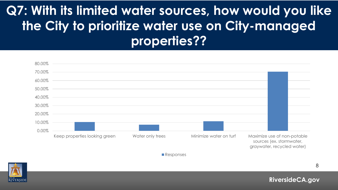## **Q7: With its limited water sources, how would you like the City to prioritize water use on City-managed properties??**

| 80.00% |                               |                  |                        |                                                                                       |  |
|--------|-------------------------------|------------------|------------------------|---------------------------------------------------------------------------------------|--|
| 70.00% |                               |                  |                        |                                                                                       |  |
| 60.00% |                               |                  |                        |                                                                                       |  |
| 50.00% |                               |                  |                        |                                                                                       |  |
| 40.00% |                               |                  |                        |                                                                                       |  |
| 30.00% |                               |                  |                        |                                                                                       |  |
| 20.00% |                               |                  |                        |                                                                                       |  |
| 10.00% |                               |                  |                        |                                                                                       |  |
| 0.00%  |                               |                  |                        |                                                                                       |  |
|        | Keep properties looking green | Water only trees | Minimize water on turf | Maximize use of non-potable<br>sources (ex. stormwater,<br>graywater, recycled water) |  |

**Responses** 

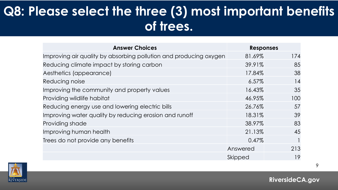## **Q8: Please select the three (3) most important benefits of trees.**

| <b>Answer Choices</b>                                             | <b>Responses</b> |     |
|-------------------------------------------------------------------|------------------|-----|
| Improving air quality by absorbing pollution and producing oxygen | 81.69%           | 174 |
| Reducing climate impact by storing carbon                         | 39.91%           | 85  |
| Aesthetics (appearance)                                           | 17.84%           | 38  |
| Reducing noise                                                    | $6.57\%$         | 14  |
| Improving the community and property values                       | 16.43%           | 35  |
| Providing wildlife habitat                                        | 46.95%           | 100 |
| Reducing energy use and lowering electric bills                   | 26.76%           | 57  |
| Improving water quality by reducing erosion and runoff            | 18.31%           | 39  |
| Providing shade                                                   | 38.97%           | 83  |
| Improving human health                                            | 21.13%           | 45  |
| Trees do not provide any benefits                                 | 0.47%            |     |
|                                                                   | Answered         | 213 |
|                                                                   | Skipped          | 19  |

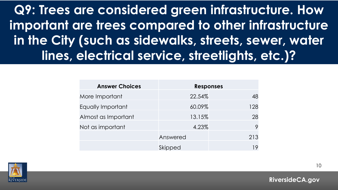**Q9: Trees are considered green infrastructure. How important are trees compared to other infrastructure in the City (such as sidewalks, streets, sewer, water lines, electrical service, streetlights, etc.)?**

| <b>Answer Choices</b> | <b>Responses</b> |     |
|-----------------------|------------------|-----|
| More Important        | 22.54%           | 48  |
| Equally Important     | 60.09%           | 128 |
| Almost as Important   | 13.15%           | 28  |
| Not as important      | 4.23%            | 9   |
|                       | Answered         | 213 |
|                       | Skipped          | 19  |

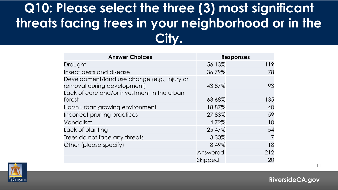## **Q10: Please select the three (3) most significant threats facing trees in your neighborhood or in the City.**

| <b>Answer Choices</b>                                                       |          | <b>Responses</b> |
|-----------------------------------------------------------------------------|----------|------------------|
| Drought                                                                     | 56.13%   | 119              |
| Insect pests and disease                                                    | 36.79%   | 78               |
| Development/land use change (e.g., injury or<br>removal during development) | 43.87%   | 93               |
| Lack of care and/or investment in the urban<br>forest                       | 63.68%   | 135              |
| Harsh urban growing environment                                             | 18.87%   | 40               |
| Incorrect pruning practices                                                 | 27.83%   | 59               |
| Vandalism                                                                   | 4.72%    | 10               |
| Lack of planting                                                            | 25.47%   | 54               |
| Trees do not face any threats                                               | 3.30%    | 7                |
| Other (please specify)                                                      | 8.49%    | 18               |
|                                                                             | Answered | 212              |
|                                                                             | Skipped  | 20               |



**RiversideCA.gov**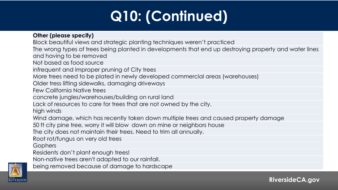# **Q10: (Continued)**

#### **Other (please specify)**

Block beautiful views and strategic planting techniques weren't practiced

The wrong types of trees being planted in developments that end up destroying property and water lines and having to be removed

Not based as food source

infrequent and improper pruning of City trees

More trees need to be plated in newly developed commercial areas (warehouses)

Older tress lifting sidewalks, damaging driveways

Few California Native trees

concrete jungles/warehouses/building on rural land

Lack of resources to care for trees that are not owned by the city.

high winds

Wind damage, which has recently taken down multiple trees and caused property damage

50 ft city pine tree, worry it will blow down on mine or neighbors house

The city does not maintain their trees. Need to trim all annually.

Root rot/fungus on very old trees

**Gophers** 

Residents don't plant enough trees!

Non-native trees aren't adapted to our rainfall.

being removed because of damage to hardscape

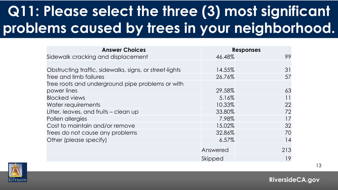## **Q11: Please select the three (3) most significant problems caused by trees in your neighborhood.**

| <b>Answer Choices</b>                                   | <b>Responses</b> |     |
|---------------------------------------------------------|------------------|-----|
| Sidewalk cracking and displacement                      | 46.48%           | 99  |
|                                                         |                  |     |
| Obstructing traffic, sidewalks, signs, or street-lights | 14.55%           | 31  |
| Tree and limb failures                                  | 26.76%           | 57  |
| Tree roots and underground pipe problems or with        |                  |     |
| power lines                                             | 29.58%           | 63  |
| <b>Blocked views</b>                                    | 5.16%            | 11  |
| Water requirements                                      | 10.33%           | 22  |
| Litter, leaves, and fruits – clean up                   | 33.80%           | 72  |
| Pollen allergies                                        | 7.98%            | 17  |
| Cost to maintain and/or remove                          | 15.02%           | 32  |
| Trees do not cause any problems                         | 32.86%           | 70  |
| Other (please specify)                                  | 6.57%            | 14  |
|                                                         | Answered         | 213 |
|                                                         | Skipped          | 19  |

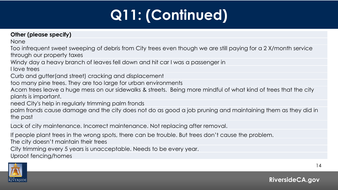# **Q11: (Continued)**

#### **Other (please specify)**

None

Too infrequent sweet sweeping of debris from City trees even though we are still paying for a 2 X/month service through our property taxes

Windy day a heavy branch of leaves fell down and hit car I was a passenger in

I love trees

Curb and gutter(and street) cracking and displacement

too many pine trees. They are too large for urban environments

Acorn trees leave a huge mess on our sidewalks & streets. Being more mindful of what kind of trees that the city plants is important.

need City's help in regularly trimming palm fronds

palm fronds cause damage and the city does not do as good a job pruning and maintaining them as they did in the past

Lack of city maintenance. Incorrect maintenance. Not replacing after removal.

If people plant trees in the wrong spots, there can be trouble. But trees don't cause the problem.

The city doesn't maintain their trees

City trimming every 5 years is unacceptable. Needs to be every year.

Uproot fencing/homes

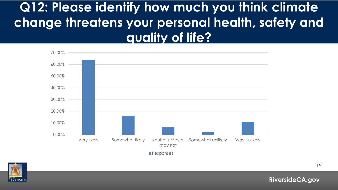## **Q12: Please identify how much you think climate change threatens your personal health, safety and quality of life?**



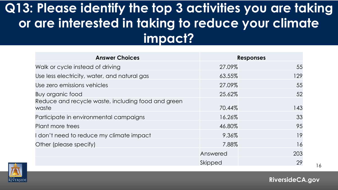## **Q13: Please identify the top 3 activities you are taking or are interested in taking to reduce your climate impact?**

| <b>Answer Choices</b>                                       |          | <b>Responses</b> |
|-------------------------------------------------------------|----------|------------------|
| Walk or cycle instead of driving                            | 27.09%   | 55               |
| Use less electricity, water, and natural gas                | 63.55%   | 129              |
| Use zero emissions vehicles                                 | 27.09%   | 55               |
| Buy organic food                                            | 25.62%   | 52               |
| Reduce and recycle waste, including food and green<br>waste | 70.44%   | 143              |
| Participate in environmental campaigns                      | 16.26%   | 33               |
| Plant more trees                                            | 46.80%   | 95               |
| don't need to reduce my climate impact                      | 9.36%    | 19               |
| Other (please specify)                                      | 7.88%    | 16               |
|                                                             | Answered | 203              |
|                                                             | Skipped  | 29               |



**RiversideCA.gov**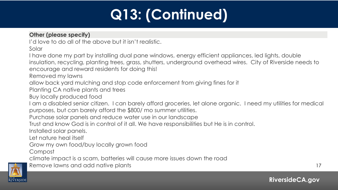# **Q13: (Continued)**

#### **Other (please specify)**

I'd love to do all of the above but it isn't realistic.

Solar

I have done my part by installing dual pane windows, energy efficient appliances, led lights, double insulation, recycling, planting trees, grass, shutters, underground overhead wires. City of Riverside needs to encourage and reward residents for doing this!

Removed my lawns

allow back yard mulching and stop code enforcement from giving fines for it

Planting CA native plants and trees

Buy locally produced food

I am a disabled senior citizen. I can barely afford groceries, let alone organic. I need my utilities for medical purposes, but can barely afford the \$800/ mo summer utilities.

Purchase solar panels and reduce water use in our landscape

Trust and know God is in control of it all. We have responsibilities but He is in control.

Installed solar panels.

Let nature heal itself

Grow my own food/buy locally grown food

**Compost** 

climate impact is a scam, batteries will cause more issues down the road





17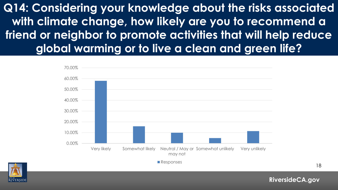**Q14: Considering your knowledge about the risks associated with climate change, how likely are you to recommend a friend or neighbor to promote activities that will help reduce global warming or to live a clean and green life?**





18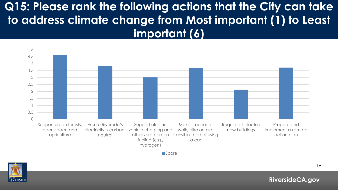#### **Q15: Please rank the following actions that the City can take to address climate change from Most important (1) to Least important (6)**



**RiversideCA.gov**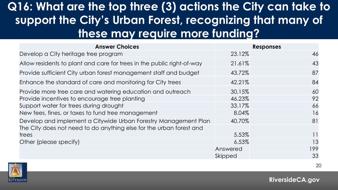### **Q16: What are the top three (3) actions the City can take to support the City's Urban Forest, recognizing that many of these may require more funding?**

| <b>Answer Choices</b>                                                  |          | <b>Responses</b> |
|------------------------------------------------------------------------|----------|------------------|
| Develop a City heritage tree program                                   | 23.12%   | 46               |
| Allow residents to plant and care for trees in the public right-of-way | 21.61%   | 43               |
| Provide sufficient City urban forest management staff and budget       | 43.72%   | 87               |
| Enhance the standard of care and monitoring for City trees             | 42.21%   | 84               |
| Provide more tree care and watering education and outreach             | 30.15%   | 60               |
| Provide incentives to encourage tree planting                          | 46.23%   | 92               |
| Support water for trees during drought                                 | 33.17%   | 66               |
| New fees, fines, or taxes to fund tree management                      | 8.04%    | 16               |
| Develop and implement a Citywide Urban Forestry Management Plan        | 40.70%   | 81               |
| The City does not need to do anything else for the urban forest and    |          |                  |
| trees                                                                  | 5.53%    | 11               |
| Other (please specify)                                                 | 6.53%    | 13               |
|                                                                        | Answered | 199              |
|                                                                        | Skipped  | 33               |